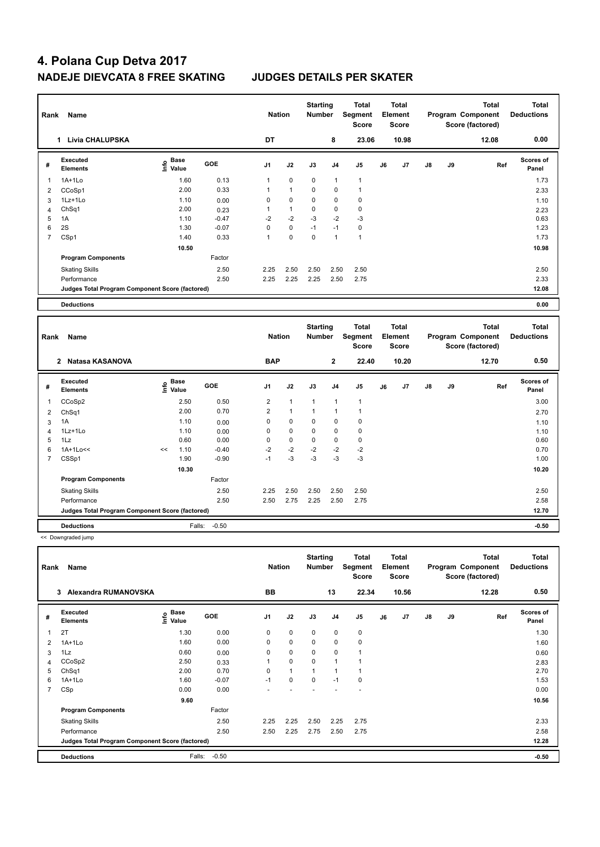| Rank           | Name                                            |                              |         |                | <b>Nation</b> | <b>Starting</b><br><b>Number</b> |                | <b>Total</b><br>Segment<br><b>Score</b> |    | Total<br>Element<br><b>Score</b> |               |    | <b>Total</b><br>Program Component<br>Score (factored) | <b>Total</b><br><b>Deductions</b> |
|----------------|-------------------------------------------------|------------------------------|---------|----------------|---------------|----------------------------------|----------------|-----------------------------------------|----|----------------------------------|---------------|----|-------------------------------------------------------|-----------------------------------|
|                | <b>Livia CHALUPSKA</b><br>1                     |                              |         | DT             |               |                                  | 8              | 23.06                                   |    | 10.98                            |               |    | 12.08                                                 | 0.00                              |
| #              | Executed<br><b>Elements</b>                     | Base<br>e Base<br>⊆ Value    | GOE     | J <sub>1</sub> | J2            | J3                               | J <sub>4</sub> | J <sub>5</sub>                          | J6 | J7                               | $\mathsf{J}8$ | J9 | Ref                                                   | Scores of<br>Panel                |
| 1              | $1A+1Lo$                                        | 1.60                         | 0.13    | 1              | 0             | 0                                | 1              | $\overline{1}$                          |    |                                  |               |    |                                                       | 1.73                              |
| 2              | CCoSp1                                          | 2.00                         | 0.33    | 1              | $\mathbf{1}$  | 0                                | 0              | $\overline{1}$                          |    |                                  |               |    |                                                       | 2.33                              |
| 3              | $1Lz+1Lo$                                       | 1.10                         | 0.00    | 0              | 0             | 0                                | 0              | 0                                       |    |                                  |               |    |                                                       | 1.10                              |
| Δ              | ChSq1                                           | 2.00                         | 0.23    | 1              | $\mathbf{1}$  | 0                                | $\mathbf 0$    | $\mathbf 0$                             |    |                                  |               |    |                                                       | 2.23                              |
| 5              | 1A                                              | 1.10                         | $-0.47$ | $-2$           | $-2$          | $-3$                             | $-2$           | $-3$                                    |    |                                  |               |    |                                                       | 0.63                              |
| 6              | 2S                                              | 1.30                         | $-0.07$ | 0              | 0             | $-1$                             | $-1$           | $\mathbf 0$                             |    |                                  |               |    |                                                       | 1.23                              |
| $\overline{7}$ | CSp1                                            | 1.40                         | 0.33    | $\mathbf{1}$   | $\Omega$      | $\Omega$                         | $\mathbf{1}$   | $\overline{1}$                          |    |                                  |               |    |                                                       | 1.73                              |
|                |                                                 | 10.50                        |         |                |               |                                  |                |                                         |    |                                  |               |    |                                                       | 10.98                             |
|                | <b>Program Components</b>                       |                              | Factor  |                |               |                                  |                |                                         |    |                                  |               |    |                                                       |                                   |
|                | <b>Skating Skills</b>                           |                              | 2.50    | 2.25           | 2.50          | 2.50                             | 2.50           | 2.50                                    |    |                                  |               |    |                                                       | 2.50                              |
|                | Performance                                     |                              | 2.50    | 2.25           | 2.25          | 2.25                             | 2.50           | 2.75                                    |    |                                  |               |    |                                                       | 2.33                              |
|                | Judges Total Program Component Score (factored) |                              |         |                |               |                                  |                |                                         |    |                                  |               |    |                                                       | 12.08                             |
|                |                                                 |                              |         |                |               |                                  |                |                                         |    |                                  |               |    |                                                       |                                   |
|                | <b>Deductions</b>                               |                              |         |                |               |                                  |                |                                         |    |                                  |               |    |                                                       | 0.00                              |
| Rank           | Name                                            |                              |         | <b>Nation</b>  |               | <b>Starting</b><br><b>Number</b> |                | <b>Total</b><br>Segment<br><b>Score</b> |    | <b>Total</b><br>Element<br>Score |               |    | <b>Total</b><br>Program Component<br>Score (factored) | <b>Total</b><br><b>Deductions</b> |
|                | Natasa KASANOVA<br>$\mathbf{2}$                 |                              |         | <b>BAP</b>     |               |                                  | $\mathbf{2}$   | 22.40                                   |    | 10.20                            |               |    | 12.70                                                 | 0.50                              |
| #              | Executed<br><b>Elements</b>                     | <b>Base</b><br>lnfo<br>Value | GOE     | J <sub>1</sub> | J2            | J3                               | J <sub>4</sub> | J <sub>5</sub>                          | J6 | J7                               | $\mathsf{J}8$ | J9 | Ref                                                   | <b>Scores of</b><br>Panel         |
| 1              | CCoSp2                                          | 2.50                         | 0.50    | $\overline{2}$ | $\mathbf{1}$  | $\mathbf{1}$                     | $\mathbf{1}$   | $\mathbf{1}$                            |    |                                  |               |    |                                                       | 3.00                              |

 ChSq1 2.00 0.70 2 1 1 1 1 2.70 2 Chiefl<br>
3 1A 1.10 0.00 0 0 0 0<br>
4 1Lz+1Lo 1.10 0.00 0 0 0 0 0 0 1.10 1Lz+1Lo 1.10 0.00 0 0 0 0 0 1.10 1Lz 0.60 0.00 0 0 0 0 0 0.60 1A+1Lo<< << 1.10 -0.40 -2 -2 -2 -2 -2 0.70 CSSp1 1.90 -0.90 -1 -3 -3 -3 -3 1.00

Skating Skills 2.25 2.50 2.50 2.50 2.50 2.50 2.50

Performance 2.50 2.50 2.75 2.25 2.50 2.75 2.58

**Deductions** Falls: -0.50 **-0.50 Judges Total Program Component Score (factored) 12.70**

Factor

 **10.30 10.20**

<< Downgraded jump

**Program Components** 

| Rank           | Name                                            |                                  |            | <b>Nation</b>  |                | <b>Starting</b><br><b>Number</b> |                | Total<br>Segment<br><b>Score</b> |    | <b>Total</b><br>Element<br><b>Score</b> |               |    | <b>Total</b><br>Program Component<br>Score (factored) | <b>Total</b><br><b>Deductions</b> |
|----------------|-------------------------------------------------|----------------------------------|------------|----------------|----------------|----------------------------------|----------------|----------------------------------|----|-----------------------------------------|---------------|----|-------------------------------------------------------|-----------------------------------|
|                | Alexandra RUMANOVSKA<br>3                       |                                  |            | <b>BB</b>      |                |                                  | 13             | 22.34                            |    | 10.56                                   |               |    | 12.28                                                 | 0.50                              |
| #              | Executed<br><b>Elements</b>                     | <b>Base</b><br>e Base<br>⊆ Value | <b>GOE</b> | J <sub>1</sub> | J2             | J3                               | J <sub>4</sub> | J <sub>5</sub>                   | J6 | J7                                      | $\mathsf{J}8$ | J9 | Ref                                                   | <b>Scores of</b><br>Panel         |
|                | 2T                                              | 1.30                             | 0.00       | 0              | $\mathbf 0$    | $\mathbf 0$                      | $\mathbf 0$    | $\mathbf 0$                      |    |                                         |               |    |                                                       | 1.30                              |
| 2              | $1A+1Lo$                                        | 1.60                             | 0.00       | 0              | $\mathbf 0$    | $\mathbf 0$                      | $\mathbf 0$    | $\mathbf 0$                      |    |                                         |               |    |                                                       | 1.60                              |
| 3              | 1Lz                                             | 0.60                             | 0.00       | 0              | 0              | 0                                | 0              |                                  |    |                                         |               |    |                                                       | 0.60                              |
| 4              | CCoSp2                                          | 2.50                             | 0.33       | 1              | $\mathbf 0$    | $\mathbf 0$                      | $\overline{1}$ |                                  |    |                                         |               |    |                                                       | 2.83                              |
| 5              | ChSq1                                           | 2.00                             | 0.70       | 0              | $\overline{1}$ | $\overline{1}$                   | $\overline{ }$ |                                  |    |                                         |               |    |                                                       | 2.70                              |
| 6              | 1A+1Lo                                          | 1.60                             | $-0.07$    | $-1$           | $\mathbf 0$    | $\mathbf 0$                      | $-1$           | $\pmb{0}$                        |    |                                         |               |    |                                                       | 1.53                              |
| $\overline{7}$ | CSp                                             | 0.00                             | 0.00       |                |                |                                  |                | ٠                                |    |                                         |               |    |                                                       | 0.00                              |
|                |                                                 | 9.60                             |            |                |                |                                  |                |                                  |    |                                         |               |    |                                                       | 10.56                             |
|                | <b>Program Components</b>                       |                                  | Factor     |                |                |                                  |                |                                  |    |                                         |               |    |                                                       |                                   |
|                | <b>Skating Skills</b>                           |                                  | 2.50       | 2.25           | 2.25           | 2.50                             | 2.25           | 2.75                             |    |                                         |               |    |                                                       | 2.33                              |
|                | Performance                                     |                                  | 2.50       | 2.50           | 2.25           | 2.75                             | 2.50           | 2.75                             |    |                                         |               |    |                                                       | 2.58                              |
|                | Judges Total Program Component Score (factored) |                                  |            |                |                |                                  |                |                                  |    |                                         |               |    |                                                       | 12.28                             |
|                | <b>Deductions</b>                               | Falls:                           | $-0.50$    |                |                |                                  |                |                                  |    |                                         |               |    |                                                       | $-0.50$                           |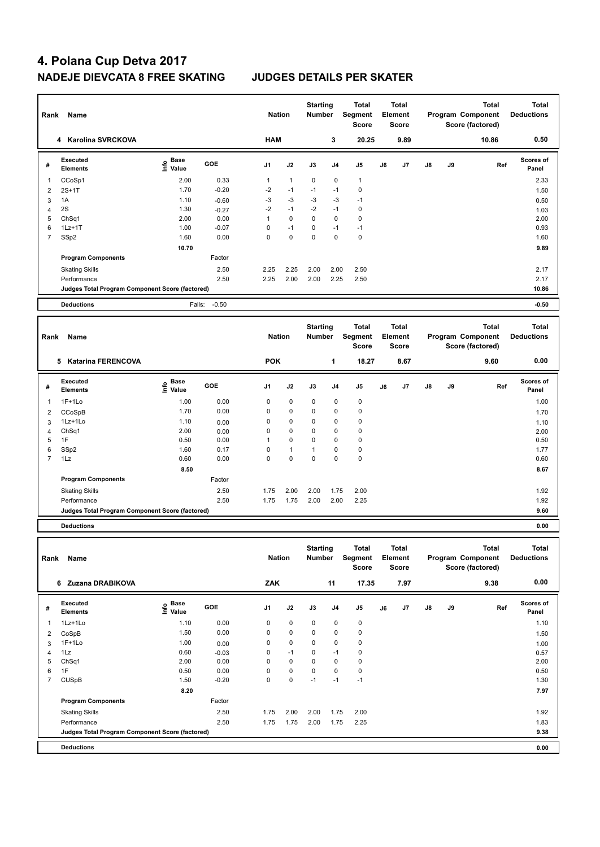| Rank                | Name                                            |                                           |              | <b>Nation</b>  |              | <b>Starting</b><br><b>Number</b> |                | <b>Total</b><br>Segment<br>Score        |    | <b>Total</b><br>Element<br><b>Score</b> |    |    | <b>Total</b><br>Program Component<br>Score (factored) | <b>Total</b><br><b>Deductions</b> |
|---------------------|-------------------------------------------------|-------------------------------------------|--------------|----------------|--------------|----------------------------------|----------------|-----------------------------------------|----|-----------------------------------------|----|----|-------------------------------------------------------|-----------------------------------|
|                     | 4 Karolina SVRCKOVA                             |                                           |              | <b>HAM</b>     |              |                                  | 3              | 20.25                                   |    | 9.89                                    |    |    | 10.86                                                 | 0.50                              |
| #                   | <b>Executed</b><br><b>Elements</b>              | $\frac{e}{E}$ Base<br>$\frac{e}{E}$ Value | GOE          | J <sub>1</sub> | J2           | J3                               | J <sub>4</sub> | J <sub>5</sub>                          | J6 | J7                                      | J8 | J9 | Ref                                                   | Scores of<br>Panel                |
| $\mathbf{1}$        | CCoSp1                                          | 2.00                                      | 0.33         | $\mathbf{1}$   | $\mathbf{1}$ | $\mathbf 0$                      | $\mathbf 0$    | $\mathbf{1}$                            |    |                                         |    |    |                                                       | 2.33                              |
| $\overline{2}$      | $2S+1T$                                         | 1.70                                      | $-0.20$      | $-2$           | $-1$         | $-1$                             | $-1$           | $\mathbf 0$                             |    |                                         |    |    |                                                       | 1.50                              |
| 3                   | 1A                                              | 1.10                                      | $-0.60$      | $-3$           | $-3$         | $-3$                             | $-3$           | $-1$                                    |    |                                         |    |    |                                                       | 0.50                              |
| $\overline{4}$      | 2S                                              | 1.30                                      | $-0.27$      | $-2$           | $-1$         | $-2$                             | $-1$           | $\mathbf 0$                             |    |                                         |    |    |                                                       | 1.03                              |
| 5                   | ChSq1                                           | 2.00                                      | 0.00         | $\mathbf{1}$   | 0            | $\mathbf 0$                      | $\mathbf 0$    | $\mathbf 0$                             |    |                                         |    |    |                                                       | 2.00                              |
| 6                   | $1Lz+1T$                                        | 1.00                                      | $-0.07$      | $\mathbf 0$    | $-1$         | 0                                | $-1$           | $-1$                                    |    |                                         |    |    |                                                       | 0.93                              |
| $\overline{7}$      | SSp2                                            | 1.60                                      | 0.00         | $\Omega$       | $\mathbf{0}$ | $\mathbf 0$                      | $\Omega$       | $\mathbf 0$                             |    |                                         |    |    |                                                       | 1.60                              |
|                     |                                                 | 10.70                                     |              |                |              |                                  |                |                                         |    |                                         |    |    |                                                       | 9.89                              |
|                     | <b>Program Components</b>                       |                                           | Factor       |                |              |                                  |                |                                         |    |                                         |    |    |                                                       |                                   |
|                     | <b>Skating Skills</b>                           |                                           | 2.50         | 2.25           | 2.25         | 2.00                             | 2.00           | 2.50                                    |    |                                         |    |    |                                                       | 2.17                              |
|                     | Performance                                     |                                           | 2.50         | 2.25           | 2.00         | 2.00                             | 2.25           | 2.50                                    |    |                                         |    |    |                                                       | 2.17                              |
|                     | Judges Total Program Component Score (factored) |                                           |              |                |              |                                  |                |                                         |    |                                         |    |    |                                                       | 10.86                             |
|                     |                                                 |                                           |              |                |              |                                  |                |                                         |    |                                         |    |    |                                                       |                                   |
|                     | <b>Deductions</b>                               | Falls:                                    | $-0.50$      |                |              |                                  |                |                                         |    |                                         |    |    |                                                       | $-0.50$                           |
|                     |                                                 |                                           |              |                |              |                                  |                |                                         |    |                                         |    |    |                                                       |                                   |
| Rank                | Name                                            |                                           |              | <b>Nation</b>  |              | <b>Starting</b><br><b>Number</b> |                | <b>Total</b><br>Segment<br><b>Score</b> |    | <b>Total</b><br>Element<br>Score        |    |    | <b>Total</b><br>Program Component<br>Score (factored) | <b>Total</b><br><b>Deductions</b> |
|                     | 5 Katarina FERENCOVA                            |                                           |              | <b>POK</b>     |              |                                  | $\mathbf{1}$   | 18.27                                   |    | 8.67                                    |    |    | 9.60                                                  | 0.00                              |
| #                   | <b>Executed</b><br><b>Elements</b>              | e Base<br>E Value<br>Value                | GOE          | J <sub>1</sub> | J2           | J3                               | J <sub>4</sub> | J <sub>5</sub>                          | J6 | J7                                      | J8 | J9 | Ref                                                   | <b>Scores of</b><br>Panel         |
| $\mathbf{1}$        | $1F+1Lo$                                        | 1.00                                      | 0.00         | $\mathbf 0$    | 0            | 0                                | $\mathbf 0$    | $\mathbf 0$                             |    |                                         |    |    |                                                       | 1.00                              |
|                     |                                                 | 1.70                                      | 0.00         | $\mathbf 0$    | 0            | 0                                | $\mathbf 0$    | $\mathbf 0$                             |    |                                         |    |    |                                                       |                                   |
| $\overline{2}$<br>3 | CCoSpB<br>1Lz+1Lo                               | 1.10                                      |              | 0              | 0            | 0                                | 0              | 0                                       |    |                                         |    |    |                                                       | 1.70                              |
| $\overline{4}$      | Ch <sub>Sq1</sub>                               | 2.00                                      | 0.00         | $\mathbf 0$    | 0            | 0                                | $\mathbf 0$    | $\mathbf 0$                             |    |                                         |    |    |                                                       | 1.10                              |
| 5                   | 1F                                              | 0.50                                      | 0.00<br>0.00 | $\overline{1}$ | $\Omega$     | $\mathbf 0$                      | 0              | $\mathbf 0$                             |    |                                         |    |    |                                                       | 2.00<br>0.50                      |
| 6                   | SSp2                                            | 1.60                                      | 0.17         | $\Omega$       | $\mathbf{1}$ | $\mathbf{1}$                     | $\mathbf 0$    | $\pmb{0}$                               |    |                                         |    |    |                                                       | 1.77                              |
| $\overline{7}$      | 1Lz                                             | 0.60                                      | 0.00         | $\mathbf 0$    | 0            | 0                                | $\mathbf 0$    | $\mathbf 0$                             |    |                                         |    |    |                                                       | 0.60                              |
|                     |                                                 | 8.50                                      |              |                |              |                                  |                |                                         |    |                                         |    |    |                                                       | 8.67                              |
|                     | <b>Program Components</b>                       |                                           | Factor       |                |              |                                  |                |                                         |    |                                         |    |    |                                                       |                                   |
|                     |                                                 |                                           |              |                |              |                                  |                |                                         |    |                                         |    |    |                                                       |                                   |
|                     | <b>Skating Skills</b><br>Performance            |                                           | 2.50<br>2.50 | 1.75<br>1.75   | 2.00<br>1.75 | 2.00<br>2.00                     | 1.75<br>2.00   | 2.00<br>2.25                            |    |                                         |    |    |                                                       | 1.92<br>1.92                      |

**Deductions 0.00**

| Rank           | Name                                            |                             |            | <b>Nation</b>  |             | <b>Starting</b><br><b>Number</b> |                | <b>Total</b><br>Segment<br><b>Score</b> |    | <b>Total</b><br>Element<br>Score |               |    | <b>Total</b><br>Program Component<br>Score (factored) | <b>Total</b><br><b>Deductions</b> |
|----------------|-------------------------------------------------|-----------------------------|------------|----------------|-------------|----------------------------------|----------------|-----------------------------------------|----|----------------------------------|---------------|----|-------------------------------------------------------|-----------------------------------|
|                | 6 Zuzana DRABIKOVA                              |                             |            | ZAK            |             |                                  | 11             | 17.35                                   |    | 7.97                             |               |    | 9.38                                                  | 0.00                              |
| #              | Executed<br><b>Elements</b>                     | Base<br>$\frac{e}{E}$ Value | <b>GOE</b> | J <sub>1</sub> | J2          | J3                               | J <sub>4</sub> | J <sub>5</sub>                          | J6 | J7                               | $\mathsf{J}8$ | J9 | Ref                                                   | <b>Scores of</b><br>Panel         |
|                | 1Lz+1Lo                                         | 1.10                        | 0.00       | 0              | 0           | $\mathbf 0$                      | 0              | 0                                       |    |                                  |               |    |                                                       | 1.10                              |
| 2              | CoSpB                                           | 1.50                        | 0.00       | 0              | $\mathbf 0$ | $\mathbf 0$                      | $\pmb{0}$      | $\pmb{0}$                               |    |                                  |               |    |                                                       | 1.50                              |
| 3              | $1F+1Lo$                                        | 1.00                        | 0.00       | 0              | $\mathbf 0$ | $\mathbf 0$                      | $\mathbf 0$    | $\pmb{0}$                               |    |                                  |               |    |                                                       | 1.00                              |
| 4              | 1Lz                                             | 0.60                        | $-0.03$    | 0              | $-1$        | 0                                | $-1$           | $\pmb{0}$                               |    |                                  |               |    |                                                       | 0.57                              |
| 5              | ChSq1                                           | 2.00                        | 0.00       | 0              | $\mathbf 0$ | 0                                | $\mathbf 0$    | 0                                       |    |                                  |               |    |                                                       | 2.00                              |
| 6              | 1F                                              | 0.50                        | 0.00       | 0              | 0           | 0                                | 0              | 0                                       |    |                                  |               |    |                                                       | 0.50                              |
| $\overline{7}$ | <b>CUSpB</b>                                    | 1.50                        | $-0.20$    | 0              | 0           | $-1$                             | $-1$           | $-1$                                    |    |                                  |               |    |                                                       | 1.30                              |
|                |                                                 | 8.20                        |            |                |             |                                  |                |                                         |    |                                  |               |    |                                                       | 7.97                              |
|                | <b>Program Components</b>                       |                             | Factor     |                |             |                                  |                |                                         |    |                                  |               |    |                                                       |                                   |
|                | <b>Skating Skills</b>                           |                             | 2.50       | 1.75           | 2.00        | 2.00                             | 1.75           | 2.00                                    |    |                                  |               |    |                                                       | 1.92                              |
|                | Performance                                     |                             | 2.50       | 1.75           | 1.75        | 2.00                             | 1.75           | 2.25                                    |    |                                  |               |    |                                                       | 1.83                              |
|                | Judges Total Program Component Score (factored) |                             |            |                |             |                                  |                |                                         |    |                                  |               |    |                                                       | 9.38                              |
|                | <b>Deductions</b>                               |                             |            |                |             |                                  |                |                                         |    |                                  |               |    |                                                       | 0.00                              |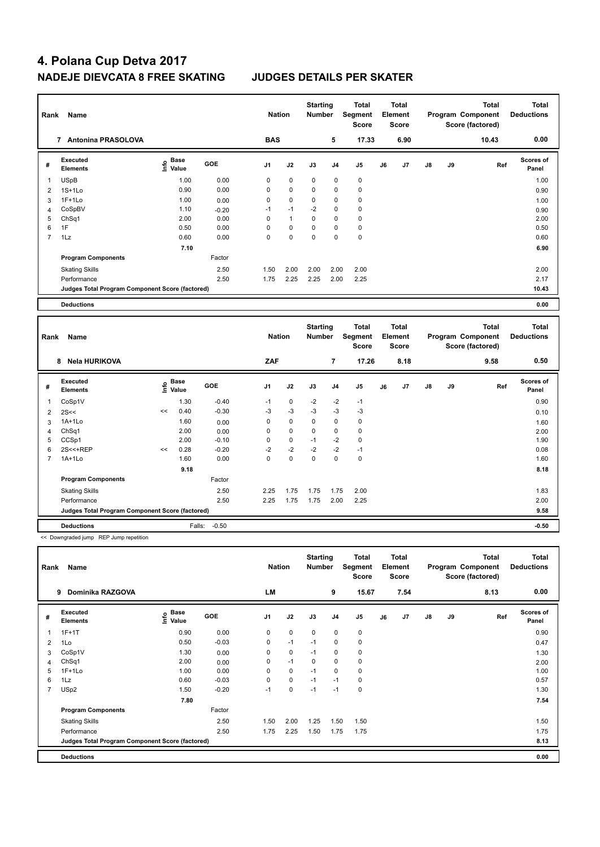| Rank           | Name                                            |                           |         | <b>Nation</b> |                | <b>Starting</b><br><b>Number</b> |                | <b>Total</b><br>Segment<br><b>Score</b> |    | <b>Total</b><br>Element<br><b>Score</b> |               |    | <b>Total</b><br>Program Component<br>Score (factored) | <b>Total</b><br><b>Deductions</b> |
|----------------|-------------------------------------------------|---------------------------|---------|---------------|----------------|----------------------------------|----------------|-----------------------------------------|----|-----------------------------------------|---------------|----|-------------------------------------------------------|-----------------------------------|
|                | <b>Antonina PRASOLOVA</b><br>$\overline{7}$     |                           |         | <b>BAS</b>    |                |                                  | 5              | 17.33                                   |    | 6.90                                    |               |    | 10.43                                                 | 0.00                              |
| #              | Executed<br><b>Elements</b>                     | Base<br>o Base<br>⊆ Value | GOE     | J1            | J2             | J3                               | J <sub>4</sub> | J5                                      | J6 | J7                                      | $\mathsf{J}8$ | J9 | Ref                                                   | <b>Scores of</b><br>Panel         |
|                | <b>USpB</b>                                     | 1.00                      | 0.00    | 0             | 0              | $\mathbf 0$                      | $\mathbf 0$    | $\mathbf 0$                             |    |                                         |               |    |                                                       | 1.00                              |
| $\overline{2}$ | $1S+1Lo$                                        | 0.90                      | 0.00    | 0             | $\mathbf 0$    | 0                                | 0              | $\pmb{0}$                               |    |                                         |               |    |                                                       | 0.90                              |
| 3              | $1F+1Lo$                                        | 1.00                      | 0.00    | 0             | $\pmb{0}$      | 0                                | 0              | $\pmb{0}$                               |    |                                         |               |    |                                                       | 1.00                              |
| 4              | CoSpBV                                          | 1.10                      | $-0.20$ | $-1$          | $-1$           | $-2$                             | 0              | $\mathbf 0$                             |    |                                         |               |    |                                                       | 0.90                              |
| 5              | ChSq1                                           | 2.00                      | 0.00    | 0             | $\overline{1}$ | 0                                | 0              | 0                                       |    |                                         |               |    |                                                       | 2.00                              |
| 6              | 1F                                              | 0.50                      | 0.00    | $\Omega$      | 0              | 0                                | 0              | 0                                       |    |                                         |               |    |                                                       | 0.50                              |
| $\overline{7}$ | 1Lz                                             | 0.60                      | 0.00    | 0             | $\Omega$       | $\Omega$                         | $\Omega$       | $\mathbf 0$                             |    |                                         |               |    |                                                       | 0.60                              |
|                |                                                 | 7.10                      |         |               |                |                                  |                |                                         |    |                                         |               |    |                                                       | 6.90                              |
|                | <b>Program Components</b>                       |                           | Factor  |               |                |                                  |                |                                         |    |                                         |               |    |                                                       |                                   |
|                | <b>Skating Skills</b>                           |                           | 2.50    | 1.50          | 2.00           | 2.00                             | 2.00           | 2.00                                    |    |                                         |               |    |                                                       | 2.00                              |
|                | Performance                                     |                           | 2.50    | 1.75          | 2.25           | 2.25                             | 2.00           | 2.25                                    |    |                                         |               |    |                                                       | 2.17                              |
|                | Judges Total Program Component Score (factored) |                           |         |               |                |                                  |                |                                         |    |                                         |               |    |                                                       | 10.43                             |
|                | <b>Deductions</b>                               |                           |         |               |                |                                  |                |                                         |    |                                         |               |    |                                                       | 0.00                              |

| Rank                    | Name                                            |      |               |         | <b>Nation</b>  |             | <b>Starting</b><br><b>Number</b> |                | <b>Total</b><br>Segment<br><b>Score</b> |    | Total<br>Element<br>Score |               |    | <b>Total</b><br>Program Component<br>Score (factored) | <b>Total</b><br><b>Deductions</b> |
|-------------------------|-------------------------------------------------|------|---------------|---------|----------------|-------------|----------------------------------|----------------|-----------------------------------------|----|---------------------------|---------------|----|-------------------------------------------------------|-----------------------------------|
|                         | <b>Nela HURIKOVA</b><br>8                       |      |               |         | ZAF            |             |                                  | 7              | 17.26                                   |    | 8.18                      |               |    | 9.58                                                  | 0.50                              |
| #                       | Executed<br><b>Elements</b>                     | ١nf٥ | Base<br>Value | GOE     | J <sub>1</sub> | J2          | J3                               | J <sub>4</sub> | J5                                      | J6 | J7                        | $\mathsf{J}8$ | J9 | Ref                                                   | Scores of<br>Panel                |
| $\overline{\mathbf{1}}$ | CoSp1V                                          |      | 1.30          | $-0.40$ | $-1$           | $\mathbf 0$ | $-2$                             | $-2$           | $-1$                                    |    |                           |               |    |                                                       | 0.90                              |
| $\overline{2}$          | 2S<<                                            | <<   | 0.40          | $-0.30$ | $-3$           | $-3$        | $-3$                             | $-3$           | $-3$                                    |    |                           |               |    |                                                       | 0.10                              |
| 3                       | 1A+1Lo                                          |      | 1.60          | 0.00    | 0              | $\mathbf 0$ | $\mathbf 0$                      | 0              | 0                                       |    |                           |               |    |                                                       | 1.60                              |
| 4                       | Ch <sub>Sq1</sub>                               |      | 2.00          | 0.00    | 0              | $\mathbf 0$ | $\mathbf 0$                      | $\mathbf 0$    | $\pmb{0}$                               |    |                           |               |    |                                                       | 2.00                              |
| 5                       | CCSp1                                           |      | 2.00          | $-0.10$ | 0              | $\mathbf 0$ | $-1$                             | $-2$           | $\pmb{0}$                               |    |                           |               |    |                                                       | 1.90                              |
| 6                       | 2S<<+REP                                        | <<   | 0.28          | $-0.20$ | $-2$           | $-2$        | $-2$                             | $-2$           | $-1$                                    |    |                           |               |    |                                                       | 0.08                              |
| 7                       | $1A+1Lo$                                        |      | 1.60          | 0.00    | 0              | 0           | 0                                | 0              | 0                                       |    |                           |               |    |                                                       | 1.60                              |
|                         |                                                 |      | 9.18          |         |                |             |                                  |                |                                         |    |                           |               |    |                                                       | 8.18                              |
|                         | <b>Program Components</b>                       |      |               | Factor  |                |             |                                  |                |                                         |    |                           |               |    |                                                       |                                   |
|                         | <b>Skating Skills</b>                           |      |               | 2.50    | 2.25           | 1.75        | 1.75                             | 1.75           | 2.00                                    |    |                           |               |    |                                                       | 1.83                              |
|                         | Performance                                     |      |               | 2.50    | 2.25           | 1.75        | 1.75                             | 2.00           | 2.25                                    |    |                           |               |    |                                                       | 2.00                              |
|                         | Judges Total Program Component Score (factored) |      |               |         |                |             |                                  |                |                                         |    |                           |               |    |                                                       | 9.58                              |
|                         | <b>Deductions</b>                               |      | Falls:        | $-0.50$ |                |             |                                  |                |                                         |    |                           |               |    |                                                       | $-0.50$                           |

<< Downgraded jump REP Jump repetition

| Rank                    | Name                                            |                                    |            | <b>Nation</b>  |             | <b>Starting</b><br><b>Number</b> |                | <b>Total</b><br>Segment<br><b>Score</b> |    | <b>Total</b><br>Element<br><b>Score</b> |               |    | Total<br>Program Component<br>Score (factored) | <b>Total</b><br><b>Deductions</b> |
|-------------------------|-------------------------------------------------|------------------------------------|------------|----------------|-------------|----------------------------------|----------------|-----------------------------------------|----|-----------------------------------------|---------------|----|------------------------------------------------|-----------------------------------|
|                         | <b>Dominika RAZGOVA</b><br>9                    |                                    |            | LM             |             |                                  | 9              | 15.67                                   |    | 7.54                                    |               |    | 8.13                                           | 0.00                              |
| #                       | <b>Executed</b><br><b>Elements</b>              | <b>Base</b><br>$\frac{6}{5}$ Value | <b>GOE</b> | J <sub>1</sub> | J2          | J3                               | J <sub>4</sub> | J <sub>5</sub>                          | J6 | J7                                      | $\mathsf{J}8$ | J9 | Ref                                            | <b>Scores of</b><br>Panel         |
| $\overline{\mathbf{1}}$ | $1F+1T$                                         | 0.90                               | 0.00       | 0              | $\mathbf 0$ | $\mathbf 0$                      | $\mathbf 0$    | $\mathbf 0$                             |    |                                         |               |    |                                                | 0.90                              |
| 2                       | 1Lo                                             | 0.50                               | $-0.03$    | 0              | $-1$        | $-1$                             | 0              | 0                                       |    |                                         |               |    |                                                | 0.47                              |
| 3                       | CoSp1V                                          | 1.30                               | 0.00       | 0              | 0           | $-1$                             | 0              | 0                                       |    |                                         |               |    |                                                | 1.30                              |
| 4                       | ChSq1                                           | 2.00                               | 0.00       | 0              | $-1$        | 0                                | $\mathbf 0$    | $\mathbf 0$                             |    |                                         |               |    |                                                | 2.00                              |
| 5                       | $1F+1Lo$                                        | 1.00                               | 0.00       | 0              | 0           | $-1$                             | $\mathbf 0$    | 0                                       |    |                                         |               |    |                                                | 1.00                              |
| 6                       | 1Lz                                             | 0.60                               | $-0.03$    | 0              | $\mathbf 0$ | $-1$                             | $-1$           | 0                                       |    |                                         |               |    |                                                | 0.57                              |
| $\overline{7}$          | USp2                                            | 1.50                               | $-0.20$    | $-1$           | $\mathbf 0$ | $-1$                             | $-1$           | $\mathbf 0$                             |    |                                         |               |    |                                                | 1.30                              |
|                         |                                                 | 7.80                               |            |                |             |                                  |                |                                         |    |                                         |               |    |                                                | 7.54                              |
|                         | <b>Program Components</b>                       |                                    | Factor     |                |             |                                  |                |                                         |    |                                         |               |    |                                                |                                   |
|                         | <b>Skating Skills</b>                           |                                    | 2.50       | 1.50           | 2.00        | 1.25                             | 1.50           | 1.50                                    |    |                                         |               |    |                                                | 1.50                              |
|                         | Performance                                     |                                    | 2.50       | 1.75           | 2.25        | 1.50                             | 1.75           | 1.75                                    |    |                                         |               |    |                                                | 1.75                              |
|                         | Judges Total Program Component Score (factored) |                                    |            |                |             |                                  |                |                                         |    |                                         |               |    |                                                | 8.13                              |
|                         | <b>Deductions</b>                               |                                    |            |                |             |                                  |                |                                         |    |                                         |               |    |                                                | 0.00                              |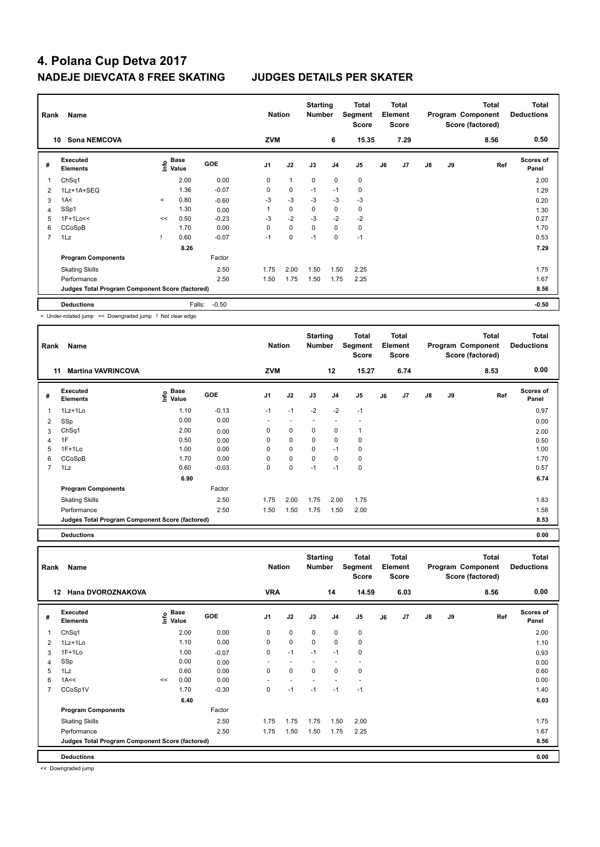| Rank           | Name                                            |         |                                  |            | <b>Nation</b>  |             | <b>Starting</b><br><b>Number</b> |                | Total<br>Segment<br><b>Score</b> |    | <b>Total</b><br>Element<br><b>Score</b> |               |    | <b>Total</b><br>Program Component<br>Score (factored) | <b>Total</b><br><b>Deductions</b> |
|----------------|-------------------------------------------------|---------|----------------------------------|------------|----------------|-------------|----------------------------------|----------------|----------------------------------|----|-----------------------------------------|---------------|----|-------------------------------------------------------|-----------------------------------|
|                | <b>Sona NEMCOVA</b><br>10                       |         |                                  |            | <b>ZVM</b>     |             |                                  | 6              | 15.35                            |    | 7.29                                    |               |    | 8.56                                                  | 0.50                              |
| #              | Executed<br><b>Elements</b>                     |         | <b>Base</b><br>e Base<br>⊆ Value | <b>GOE</b> | J <sub>1</sub> | J2          | J3                               | J <sub>4</sub> | J <sub>5</sub>                   | J6 | J7                                      | $\mathsf{J}8$ | J9 | Ref                                                   | <b>Scores of</b><br>Panel         |
|                | ChSq1                                           |         | 2.00                             | 0.00       | 0              | 1           | $\mathbf 0$                      | $\mathbf 0$    | $\pmb{0}$                        |    |                                         |               |    |                                                       | 2.00                              |
| $\overline{2}$ | 1Lz+1A+SEQ                                      |         | 1.36                             | $-0.07$    | 0              | $\mathbf 0$ | $-1$                             | $-1$           | $\pmb{0}$                        |    |                                         |               |    |                                                       | 1.29                              |
| 3              | 1A<                                             | $\prec$ | 0.80                             | $-0.60$    | $-3$           | $-3$        | $-3$                             | $-3$           | $-3$                             |    |                                         |               |    |                                                       | 0.20                              |
| 4              | SSp1                                            |         | 1.30                             | 0.00       |                | $\mathbf 0$ | $\mathbf 0$                      | $\mathbf 0$    | $\mathbf 0$                      |    |                                         |               |    |                                                       | 1.30                              |
| 5              | $1F+1Lo<<$                                      | <<      | 0.50                             | $-0.23$    | $-3$           | $-2$        | $-3$                             | $-2$           | $-2$                             |    |                                         |               |    |                                                       | 0.27                              |
| 6              | CCoSpB                                          |         | 1.70                             | 0.00       | 0              | $\mathbf 0$ | 0                                | $\mathbf 0$    | 0                                |    |                                         |               |    |                                                       | 1.70                              |
| $\overline{7}$ | 1Lz                                             |         | 0.60                             | $-0.07$    | $-1$           | $\mathbf 0$ | $-1$                             | $\mathbf 0$    | $-1$                             |    |                                         |               |    |                                                       | 0.53                              |
|                |                                                 |         | 8.26                             |            |                |             |                                  |                |                                  |    |                                         |               |    |                                                       | 7.29                              |
|                | <b>Program Components</b>                       |         |                                  | Factor     |                |             |                                  |                |                                  |    |                                         |               |    |                                                       |                                   |
|                | <b>Skating Skills</b>                           |         |                                  | 2.50       | 1.75           | 2.00        | 1.50                             | 1.50           | 2.25                             |    |                                         |               |    |                                                       | 1.75                              |
|                | Performance                                     |         |                                  | 2.50       | 1.50           | 1.75        | 1.50                             | 1.75           | 2.25                             |    |                                         |               |    |                                                       | 1.67                              |
|                | Judges Total Program Component Score (factored) |         |                                  |            |                |             |                                  |                |                                  |    |                                         |               |    |                                                       | 8.56                              |
|                | <b>Deductions</b>                               |         | Falls:                           | $-0.50$    |                |             |                                  |                |                                  |    |                                         |               |    |                                                       | $-0.50$                           |

< Under-rotated jump << Downgraded jump ! Not clear edge

| Rank           | Name                                            |                       |            | <b>Nation</b>            |                          | <b>Starting</b><br><b>Number</b> |                | Total<br>Segment<br><b>Score</b> |    | <b>Total</b><br>Element<br><b>Score</b> |               |    | <b>Total</b><br>Program Component<br>Score (factored) | <b>Total</b><br><b>Deductions</b> |
|----------------|-------------------------------------------------|-----------------------|------------|--------------------------|--------------------------|----------------------------------|----------------|----------------------------------|----|-----------------------------------------|---------------|----|-------------------------------------------------------|-----------------------------------|
|                | <b>Martina VAVRINCOVA</b><br>11                 |                       |            | <b>ZVM</b>               |                          |                                  | 12             | 15.27                            |    | 6.74                                    |               |    | 8.53                                                  | 0.00                              |
| #              | <b>Executed</b><br><b>Elements</b>              | Base<br>lnfo<br>Value | <b>GOE</b> | J <sub>1</sub>           | J2                       | J3                               | J <sub>4</sub> | J5                               | J6 | J7                                      | $\mathsf{J}8$ | J9 | Ref                                                   | Scores of<br>Panel                |
| 1              | 1Lz+1Lo                                         | 1.10                  | $-0.13$    | $-1$                     | $-1$                     | $-2$                             | $-2$           | $-1$                             |    |                                         |               |    |                                                       | 0.97                              |
| 2              | SSp                                             | 0.00                  | 0.00       | $\overline{\phantom{0}}$ | $\overline{\phantom{a}}$ | ٠                                | ٠              |                                  |    |                                         |               |    |                                                       | 0.00                              |
| 3              | ChSq1                                           | 2.00                  | 0.00       | 0                        | 0                        | $\mathbf 0$                      | 0              |                                  |    |                                         |               |    |                                                       | 2.00                              |
| 4              | 1F                                              | 0.50                  | 0.00       | 0                        | $\mathbf 0$              | $\mathbf 0$                      | $\mathbf 0$    | 0                                |    |                                         |               |    |                                                       | 0.50                              |
| 5              | $1F+1Lo$                                        | 1.00                  | 0.00       | 0                        | 0                        | $\mathbf 0$                      | $-1$           | 0                                |    |                                         |               |    |                                                       | 1.00                              |
| 6              | CCoSpB                                          | 1.70                  | 0.00       | 0                        | 0                        | $\mathbf 0$                      | 0              | 0                                |    |                                         |               |    |                                                       | 1.70                              |
| $\overline{7}$ | 1Lz                                             | 0.60                  | $-0.03$    | 0                        | 0                        | $-1$                             | $-1$           | 0                                |    |                                         |               |    |                                                       | 0.57                              |
|                |                                                 | 6.90                  |            |                          |                          |                                  |                |                                  |    |                                         |               |    |                                                       | 6.74                              |
|                | <b>Program Components</b>                       |                       | Factor     |                          |                          |                                  |                |                                  |    |                                         |               |    |                                                       |                                   |
|                | <b>Skating Skills</b>                           |                       | 2.50       | 1.75                     | 2.00                     | 1.75                             | 2.00           | 1.75                             |    |                                         |               |    |                                                       | 1.83                              |
|                | Performance                                     |                       | 2.50       | 1.50                     | 1.50                     | 1.75                             | 1.50           | 2.00                             |    |                                         |               |    |                                                       | 1.58                              |
|                | Judges Total Program Component Score (factored) |                       |            |                          |                          |                                  |                |                                  |    |                                         |               |    |                                                       | 8.53                              |
|                | <b>Deductions</b>                               |                       |            |                          |                          |                                  |                |                                  |    |                                         |               |    |                                                       | 0.00                              |

| Deductions |  |
|------------|--|
|            |  |

| Rank           | Name                                            |      |               |            | <b>Nation</b>            |                          | <b>Starting</b><br><b>Number</b> |                | Total<br>Segment<br><b>Score</b> |    | Total<br>Element<br><b>Score</b> |               |    | Total<br>Program Component<br>Score (factored) | <b>Total</b><br><b>Deductions</b> |
|----------------|-------------------------------------------------|------|---------------|------------|--------------------------|--------------------------|----------------------------------|----------------|----------------------------------|----|----------------------------------|---------------|----|------------------------------------------------|-----------------------------------|
|                | Hana DVOROZNAKOVA<br>12                         |      |               |            | <b>VRA</b>               |                          |                                  | 14             | 14.59                            |    | 6.03                             |               |    | 8.56                                           | 0.00                              |
| #              | Executed<br><b>Elements</b>                     | ١nf٥ | Base<br>Value | <b>GOE</b> | J <sub>1</sub>           | J2                       | J3                               | J <sub>4</sub> | J5                               | J6 | J7                               | $\mathsf{J}8$ | J9 | Ref                                            | Scores of<br>Panel                |
| 1              | Ch <sub>Sq1</sub>                               |      | 2.00          | 0.00       | 0                        | $\mathbf 0$              | $\Omega$                         | $\mathbf 0$    | 0                                |    |                                  |               |    |                                                | 2.00                              |
| $\overline{2}$ | 1Lz+1Lo                                         |      | 1.10          | 0.00       | 0                        | $\mathbf 0$              | 0                                | 0              | 0                                |    |                                  |               |    |                                                | 1.10                              |
| 3              | $1F+1Lo$                                        |      | 1.00          | $-0.07$    | 0                        | $-1$                     | $-1$                             | $-1$           | $\mathbf 0$                      |    |                                  |               |    |                                                | 0.93                              |
| 4              | SSp                                             |      | 0.00          | 0.00       | $\overline{\phantom{a}}$ | $\overline{\phantom{0}}$ |                                  |                |                                  |    |                                  |               |    |                                                | 0.00                              |
| 5              | 1Lz                                             |      | 0.60          | 0.00       | 0                        | 0                        | 0                                | 0              | $\mathbf 0$                      |    |                                  |               |    |                                                | 0.60                              |
| 6              | 1A<<                                            | <<   | 0.00          | 0.00       |                          |                          |                                  |                |                                  |    |                                  |               |    |                                                | 0.00                              |
| $\overline{7}$ | CCoSp1V                                         |      | 1.70          | $-0.30$    | 0                        | $-1$                     | $-1$                             | $-1$           | $-1$                             |    |                                  |               |    |                                                | 1.40                              |
|                |                                                 |      | 6.40          |            |                          |                          |                                  |                |                                  |    |                                  |               |    |                                                | 6.03                              |
|                | <b>Program Components</b>                       |      |               | Factor     |                          |                          |                                  |                |                                  |    |                                  |               |    |                                                |                                   |
|                | <b>Skating Skills</b>                           |      |               | 2.50       | 1.75                     | 1.75                     | 1.75                             | 1.50           | 2.00                             |    |                                  |               |    |                                                | 1.75                              |
|                | Performance                                     |      |               | 2.50       | 1.75                     | 1.50                     | 1.50                             | 1.75           | 2.25                             |    |                                  |               |    |                                                | 1.67                              |
|                | Judges Total Program Component Score (factored) |      |               |            |                          |                          |                                  |                |                                  |    |                                  |               |    |                                                | 8.56                              |
|                | <b>Deductions</b>                               |      |               |            |                          |                          |                                  |                |                                  |    |                                  |               |    |                                                | 0.00                              |

<< Downgraded jump